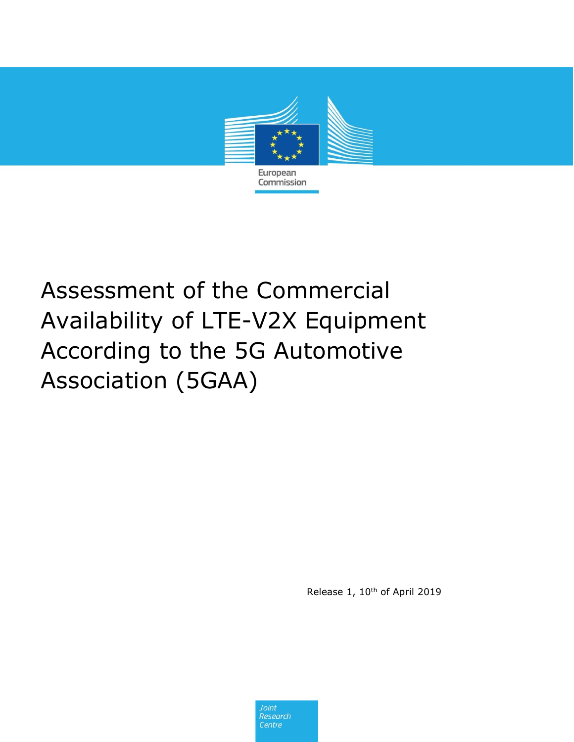

# Assessment of the Commercial Availability of LTE-V2X Equipment According to the 5G Automotive Association (5GAA)

Release 1, 10<sup>th</sup> of April 2019

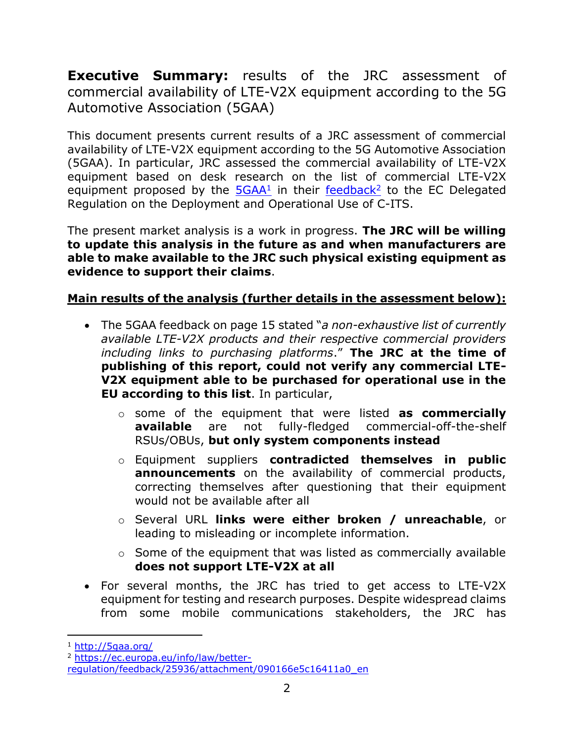**Executive Summary:** results of the JRC assessment of commercial availability of LTE-V2X equipment according to the 5G Automotive Association (5GAA)

This document presents current results of a JRC assessment of commercial availability of LTE-V2X equipment according to the 5G Automotive Association (5GAA). In particular, JRC assessed the commercial availability of LTE-V2X equipment based on desk research on the list of commercial LTE-V2X equipment proposed by the **[5GAA](http://5gaa.org/)**1 in their [feedback](https://ec.europa.eu/info/law/better-regulation/feedback/25936/attachment/090166e5c16411a0_en)<sup>2</sup> to the EC Delegated Regulation on the Deployment and Operational Use of C-ITS.

The present market analysis is a work in progress. **The JRC will be willing to update this analysis in the future as and when manufacturers are able to make available to the JRC such physical existing equipment as evidence to support their claims**.

#### **Main results of the analysis (further details in the assessment below):**

- The 5GAA feedback on page 15 stated "*a non-exhaustive list of currently available LTE-V2X products and their respective commercial providers including links to purchasing platforms*." **The JRC at the time of publishing of this report, could not verify any commercial LTE-V2X equipment able to be purchased for operational use in the EU according to this list**. In particular,
	- o some of the equipment that were listed **as commercially available** are not fully-fledged commercial-off-the-shelf RSUs/OBUs, **but only system components instead**
	- o Equipment suppliers **contradicted themselves in public announcements** on the availability of commercial products, correcting themselves after questioning that their equipment would not be available after all
	- o Several URL **links were either broken / unreachable**, or leading to misleading or incomplete information.
	- $\circ$  Some of the equipment that was listed as commercially available **does not support LTE-V2X at all**
- For several months, the JRC has tried to get access to LTE-V2X equipment for testing and research purposes. Despite widespread claims from some mobile communications stakeholders, the JRC has

 $\overline{a}$ 

<sup>1</sup> <http://5gaa.org/>

<sup>2</sup> [https://ec.europa.eu/info/law/better-](https://ec.europa.eu/info/law/better-regulation/feedback/25936/attachment/090166e5c16411a0_en)

[regulation/feedback/25936/attachment/090166e5c16411a0\\_en](https://ec.europa.eu/info/law/better-regulation/feedback/25936/attachment/090166e5c16411a0_en)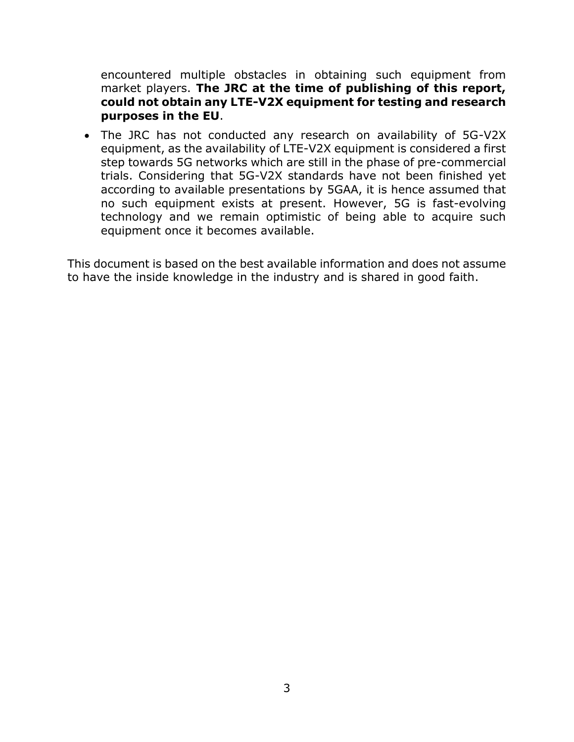encountered multiple obstacles in obtaining such equipment from market players. **The JRC at the time of publishing of this report, could not obtain any LTE-V2X equipment for testing and research purposes in the EU**.

 The JRC has not conducted any research on availability of 5G-V2X equipment, as the availability of LTE-V2X equipment is considered a first step towards 5G networks which are still in the phase of pre-commercial trials. Considering that 5G-V2X standards have not been finished yet according to available presentations by 5GAA, it is hence assumed that no such equipment exists at present. However, 5G is fast-evolving technology and we remain optimistic of being able to acquire such equipment once it becomes available.

This document is based on the best available information and does not assume to have the inside knowledge in the industry and is shared in good faith.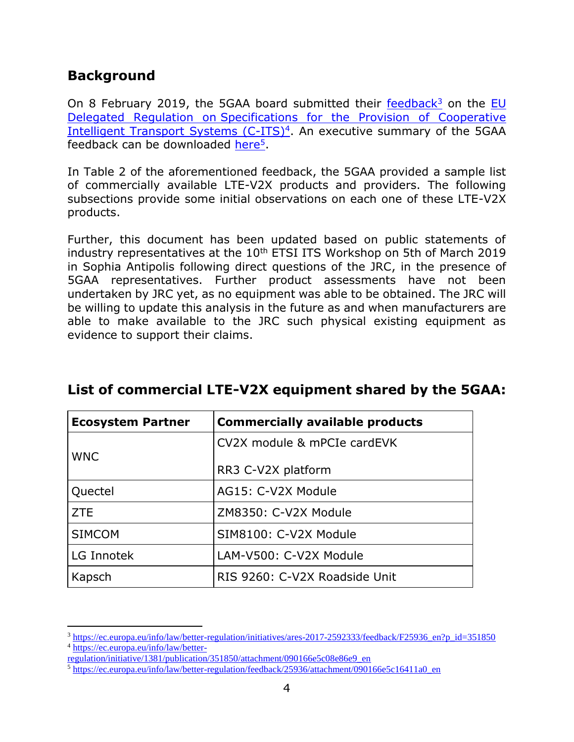# **Background**

 $\overline{a}$ 

On 8 February 2019, the 5GAA board submitted their [feedback](https://ec.europa.eu/info/law/better-regulation/initiatives/ares-2017-2592333/feedback/F25936_en?p_id=351850)<sup>3</sup> on the EU Delegated Regulation on [Specifications for the Provision of Cooperative](https://ec.europa.eu/info/law/better-regulation/initiative/1381/publication/351850/attachment/090166e5c08e86e9_en)  [Intelligent Transport Systems \(C-ITS\)](https://ec.europa.eu/info/law/better-regulation/initiative/1381/publication/351850/attachment/090166e5c08e86e9_en)<sup>4</sup>. An executive summary of the 5GAA feedback can be downloaded [here](https://ec.europa.eu/info/law/better-regulation/feedback/25936/attachment/090166e5c16411a0_en)<sup>5</sup>.

In Table 2 of the aforementioned feedback, the 5GAA provided a sample list of commercially available LTE-V2X products and providers. The following subsections provide some initial observations on each one of these LTE-V2X products.

Further, this document has been updated based on public statements of industry representatives at the  $10<sup>th</sup>$  ETSI ITS Workshop on 5th of March 2019 in Sophia Antipolis following direct questions of the JRC, in the presence of 5GAA representatives. Further product assessments have not been undertaken by JRC yet, as no equipment was able to be obtained. The JRC will be willing to update this analysis in the future as and when manufacturers are able to make available to the JRC such physical existing equipment as evidence to support their claims.

| <b>Ecosystem Partner</b> | <b>Commercially available products</b> |
|--------------------------|----------------------------------------|
| <b>WNC</b>               | CV2X module & mPCIe cardEVK            |
|                          | RR3 C-V2X platform                     |
| Quectel                  | AG15: C-V2X Module                     |
| <b>ZTE</b>               | ZM8350: C-V2X Module                   |
| <b>SIMCOM</b>            | SIM8100: C-V2X Module                  |
| LG Innotek               | LAM-V500: C-V2X Module                 |
| Kapsch                   | RIS 9260: C-V2X Roadside Unit          |

# **List of commercial LTE-V2X equipment shared by the 5GAA:**

<sup>3</sup> [https://ec.europa.eu/info/law/better-regulation/initiatives/ares-2017-2592333/feedback/F25936\\_en?p\\_id=351850](https://ec.europa.eu/info/law/better-regulation/initiatives/ares-2017-2592333/feedback/F25936_en?p_id=351850) <sup>4</sup> [https://ec.europa.eu/info/law/better-](https://ec.europa.eu/info/law/better-regulation/initiative/1381/publication/351850/attachment/090166e5c08e86e9_en)

[regulation/initiative/1381/publication/351850/attachment/090166e5c08e86e9\\_en](https://ec.europa.eu/info/law/better-regulation/initiative/1381/publication/351850/attachment/090166e5c08e86e9_en)

<sup>5</sup> [https://ec.europa.eu/info/law/better-regulation/feedback/25936/attachment/090166e5c16411a0\\_en](https://ec.europa.eu/info/law/better-regulation/feedback/25936/attachment/090166e5c16411a0_en)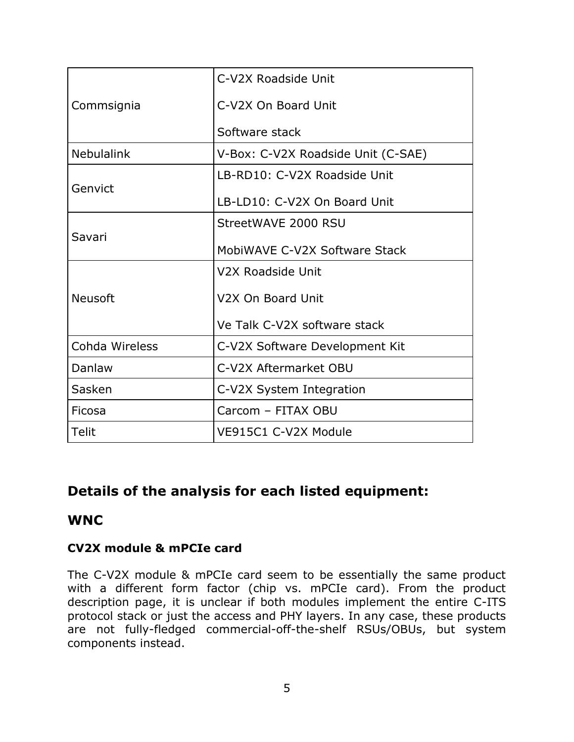| Commsignia        | C-V2X Roadside Unit                |
|-------------------|------------------------------------|
|                   | C-V2X On Board Unit                |
|                   | Software stack                     |
| <b>Nebulalink</b> | V-Box: C-V2X Roadside Unit (C-SAE) |
| Genvict           | LB-RD10: C-V2X Roadside Unit       |
|                   | LB-LD10: C-V2X On Board Unit       |
| Savari            | StreetWAVE 2000 RSU                |
|                   | MobiWAVE C-V2X Software Stack      |
| <b>Neusoft</b>    | V2X Roadside Unit                  |
|                   | V <sub>2</sub> X On Board Unit     |
|                   | Ve Talk C-V2X software stack       |
| Cohda Wireless    | C-V2X Software Development Kit     |
| Danlaw            | C-V2X Aftermarket OBU              |
| Sasken            | C-V2X System Integration           |
| Ficosa            | Carcom - FITAX OBU                 |
| Telit             | VE915C1 C-V2X Module               |

# **Details of the analysis for each listed equipment:**

#### **WNC**

#### **CV2X module & mPCIe card**

The C-V2X module & mPCIe card seem to be essentially the same product with a different form factor (chip vs. mPCIe card). From the product description page, it is unclear if both modules implement the entire C-ITS protocol stack or just the access and PHY layers. In any case, these products are not fully-fledged commercial-off-the-shelf RSUs/OBUs, but system components instead.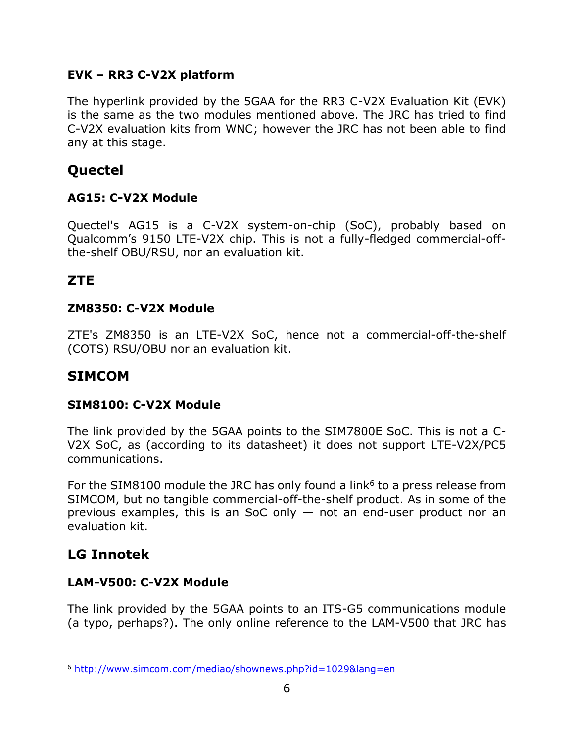#### **EVK – RR3 C-V2X platform**

The hyperlink provided by the 5GAA for the RR3 C-V2X Evaluation Kit (EVK) is the same as the two modules mentioned above. The JRC has tried to find C-V2X evaluation kits from WNC; however the JRC has not been able to find any at this stage.

# **Quectel**

#### **AG15: C-V2X Module**

Quectel's AG15 is a C-V2X system-on-chip (SoC), probably based on Qualcomm's 9150 LTE-V2X chip. This is not a fully-fledged commercial-offthe-shelf OBU/RSU, nor an evaluation kit.

# **ZTE**

#### **ZM8350: C-V2X Module**

ZTE's ZM8350 is an LTE-V2X SoC, hence not a commercial-off-the-shelf (COTS) RSU/OBU nor an evaluation kit.

# **SIMCOM**

#### **SIM8100: C-V2X Module**

The link provided by the 5GAA points to the SIM7800E SoC. This is not a C-V2X SoC, as (according to its datasheet) it does not support LTE-V2X/PC5 communications.

For the SIM8100 module the JRC has only found a  $link<sup>6</sup>$  to a press release from</u> SIMCOM, but no tangible commercial-off-the-shelf product. As in some of the previous examples, this is an SoC only  $-$  not an end-user product nor an evaluation kit.

# **LG Innotek**

 $\overline{a}$ 

#### **LAM-V500: C-V2X Module**

The link provided by the 5GAA points to an ITS-G5 communications module (a typo, perhaps?). The only online reference to the LAM-V500 that JRC has

<sup>6</sup> <http://www.simcom.com/mediao/shownews.php?id=1029&lang=en>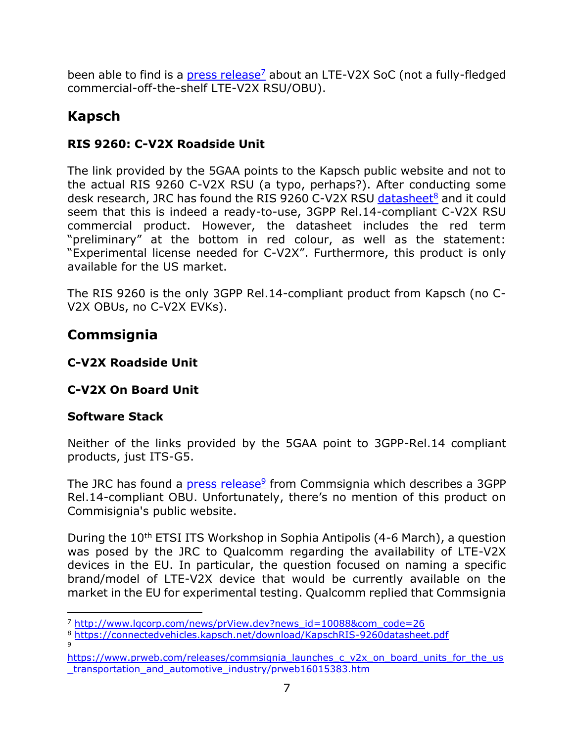been able to find is a [press release](http://www.lgcorp.com/news/prView.dev?news_id=10088&com_code=26)<sup>7</sup> about an LTE-V2X SoC (not a fully-fledged commercial-off-the-shelf LTE-V2X RSU/OBU).

# **Kapsch**

# **RIS 9260: C-V2X Roadside Unit**

The link provided by the 5GAA points to the Kapsch public website and not to the actual RIS 9260 C-V2X RSU (a typo, perhaps?). After conducting some desk research, JRC has found the RIS 9260 C-V2X RSU [datasheet](https://connectedvehicles.kapsch.net/download/KapschRIS-9260datasheet.pdf)<sup>8</sup> and it could seem that this is indeed a ready-to-use, 3GPP Rel.14-compliant C-V2X RSU commercial product. However, the datasheet includes the red term "preliminary" at the bottom in red colour, as well as the statement: "Experimental license needed for C-V2X". Furthermore, this product is only available for the US market.

The RIS 9260 is the only 3GPP Rel.14-compliant product from Kapsch (no C-V2X OBUs, no C-V2X EVKs).

# **Commsignia**

#### **C-V2X Roadside Unit**

# **C-V2X On Board Unit**

# **Software Stack**

 $\overline{a}$ 

Neither of the links provided by the 5GAA point to 3GPP-Rel.14 compliant products, just ITS-G5.

The JRC has found a *press release*<sup>9</sup> from Commsignia which describes a 3GPP Rel.14-compliant OBU. Unfortunately, there's no mention of this product on Commisignia's public website.

During the 10<sup>th</sup> ETSI ITS Workshop in Sophia Antipolis (4-6 March), a question was posed by the JRC to Qualcomm regarding the availability of LTE-V2X devices in the EU. In particular, the question focused on naming a specific brand/model of LTE-V2X device that would be currently available on the market in the EU for experimental testing. Qualcomm replied that Commsignia

<sup>&</sup>lt;sup>7</sup> [http://www.lgcorp.com/news/prView.dev?news\\_id=10088&com\\_code=26](http://www.lgcorp.com/news/prView.dev?news_id=10088&com_code=26)

<sup>8</sup> <https://connectedvehicles.kapsch.net/download/KapschRIS-9260datasheet.pdf> 9

[https://www.prweb.com/releases/commsignia\\_launches\\_c\\_v2x\\_on\\_board\\_units\\_for\\_the\\_us](https://www.prweb.com/releases/commsignia_launches_c_v2x_on_board_units_for_the_us_transportation_and_automotive_industry/prweb16015383.htm) [\\_transportation\\_and\\_automotive\\_industry/prweb16015383.htm](https://www.prweb.com/releases/commsignia_launches_c_v2x_on_board_units_for_the_us_transportation_and_automotive_industry/prweb16015383.htm)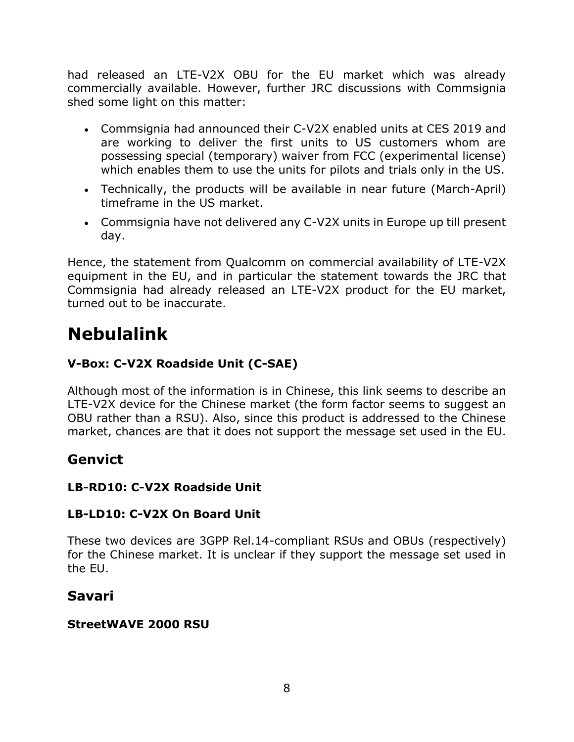had released an LTE-V2X OBU for the EU market which was already commercially available. However, further JRC discussions with Commsignia shed some light on this matter:

- Commsignia had announced their C-V2X enabled units at CES 2019 and are working to deliver the first units to US customers whom are possessing special (temporary) waiver from FCC (experimental license) which enables them to use the units for pilots and trials only in the US.
- Technically, the products will be available in near future (March-April) timeframe in the US market.
- Commsignia have not delivered any C-V2X units in Europe up till present day.

Hence, the statement from Qualcomm on commercial availability of LTE-V2X equipment in the EU, and in particular the statement towards the JRC that Commsignia had already released an LTE-V2X product for the EU market, turned out to be inaccurate.

# **Nebulalink**

#### **V-Box: C-V2X Roadside Unit (C-SAE)**

Although most of the information is in Chinese, this link seems to describe an LTE-V2X device for the Chinese market (the form factor seems to suggest an OBU rather than a RSU). Also, since this product is addressed to the Chinese market, chances are that it does not support the message set used in the EU.

# **Genvict**

#### **LB-RD10: C-V2X Roadside Unit**

#### **LB-LD10: C-V2X On Board Unit**

These two devices are 3GPP Rel.14-compliant RSUs and OBUs (respectively) for the Chinese market. It is unclear if they support the message set used in the EU.

# **Savari**

#### **StreetWAVE 2000 RSU**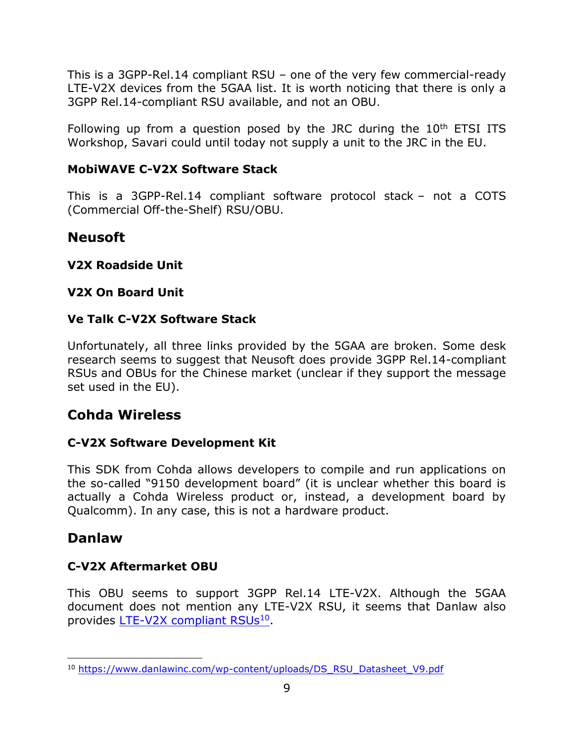This is a 3GPP-Rel.14 compliant RSU – one of the very few commercial-ready LTE-V2X devices from the 5GAA list. It is worth noticing that there is only a 3GPP Rel.14-compliant RSU available, and not an OBU.

Following up from a question posed by the JRC during the  $10<sup>th</sup>$  ETSI ITS Workshop, Savari could until today not supply a unit to the JRC in the EU.

#### **MobiWAVE C-V2X Software Stack**

This is a 3GPP-Rel.14 compliant software protocol stack – not a COTS (Commercial Off-the-Shelf) RSU/OBU.

# **Neusoft**

**V2X Roadside Unit**

#### **V2X On Board Unit**

#### **Ve Talk C-V2X Software Stack**

Unfortunately, all three links provided by the 5GAA are broken. Some desk research seems to suggest that Neusoft does provide 3GPP Rel.14-compliant RSUs and OBUs for the Chinese market (unclear if they support the message set used in the EU).

# **Cohda Wireless**

#### **C-V2X Software Development Kit**

This SDK from Cohda allows developers to compile and run applications on the so-called "9150 development board" (it is unclear whether this board is actually a Cohda Wireless product or, instead, a development board by Qualcomm). In any case, this is not a hardware product.

# **Danlaw**

 $\overline{a}$ 

#### **C-V2X Aftermarket OBU**

This OBU seems to support 3GPP Rel.14 LTE-V2X. Although the 5GAA document does not mention any LTE-V2X RSU, it seems that Danlaw also provides [LTE-V2X compliant RSUs](https://www.danlawinc.com/wp-content/uploads/DS_RSU_Datasheet_V9.pdf)<sup>10</sup>.

<sup>10</sup> [https://www.danlawinc.com/wp-content/uploads/DS\\_RSU\\_Datasheet\\_V9.pdf](https://www.danlawinc.com/wp-content/uploads/DS_RSU_Datasheet_V9.pdf)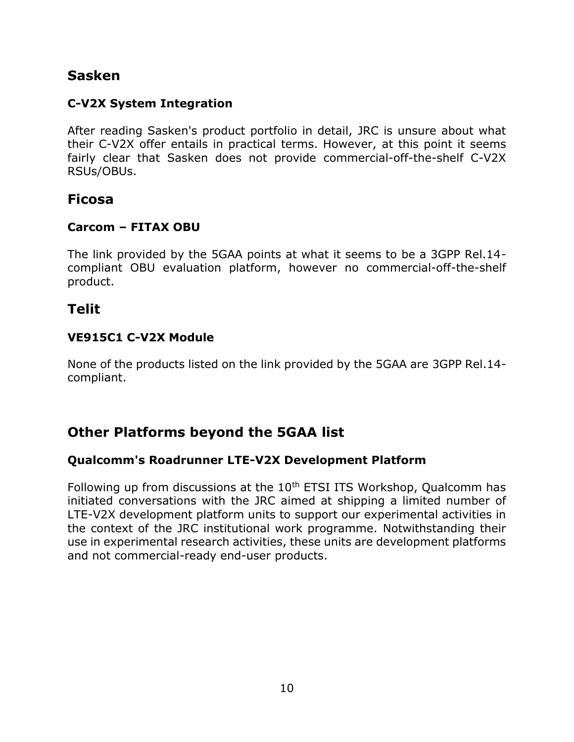# **Sasken**

#### **C-V2X System Integration**

After reading Sasken's product portfolio in detail, JRC is unsure about what their C-V2X offer entails in practical terms. However, at this point it seems fairly clear that Sasken does not provide commercial-off-the-shelf C-V2X RSUs/OBUs.

#### **Ficosa**

#### **Carcom – FITAX OBU**

The link provided by the 5GAA points at what it seems to be a 3GPP Rel.14 compliant OBU evaluation platform, however no commercial-off-the-shelf product.

#### **Telit**

#### **VE915C1 C-V2X Module**

None of the products listed on the link provided by the 5GAA are 3GPP Rel.14 compliant.

# **Other Platforms beyond the 5GAA list**

#### **Qualcomm's Roadrunner LTE-V2X Development Platform**

Following up from discussions at the 10<sup>th</sup> ETSI ITS Workshop, Qualcomm has initiated conversations with the JRC aimed at shipping a limited number of LTE-V2X development platform units to support our experimental activities in the context of the JRC institutional work programme. Notwithstanding their use in experimental research activities, these units are development platforms and not commercial-ready end-user products.